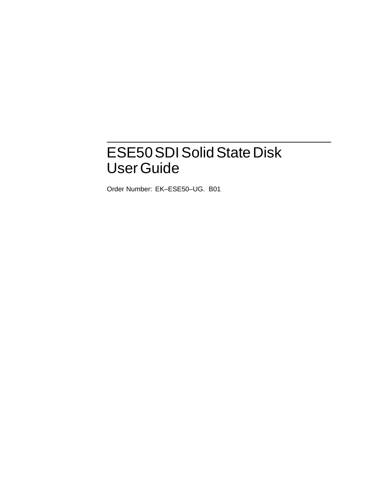# ESE50 SDI Solid State Disk UserGuide

Order Number: EK–ESE50–UG. B01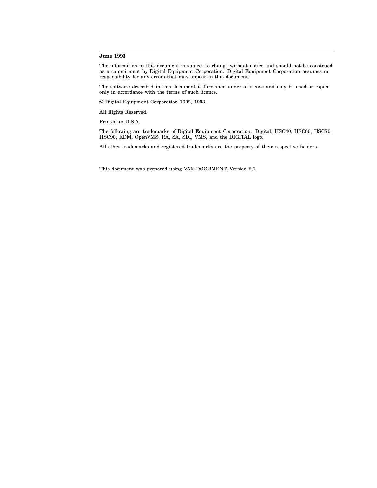#### **June 1993**

The information in this document is subject to change without notice and should not be construed as a commitment by Digital Equipment Corporation. Digital Equipment Corporation assumes no responsibility for any errors that may appear in this document.

The software described in this document is furnished under a license and may be used or copied only in accordance with the terms of such licence.

© Digital Equipment Corporation 1992, 1993.

All Rights Reserved.

Printed in U.S.A.

The following are trademarks of Digital Equipment Corporation: Digital, HSC40, HSC60, HSC70, HSC90, KDM, OpenVMS, RA, SA, SDI, VMS, and the DIGITAL logo.

All other trademarks and registered trademarks are the property of their respective holders.

This document was prepared using VAX DOCUMENT, Version 2.1.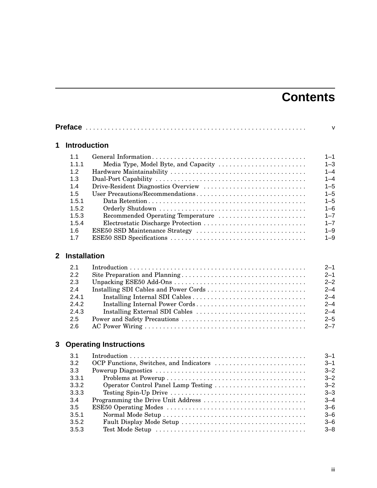# **Contents**

|              | <b>Preface</b>      |                                      | $\vee$  |
|--------------|---------------------|--------------------------------------|---------|
| 1            | <b>Introduction</b> |                                      |         |
|              | 1.1                 |                                      | $1 - 1$ |
|              | 1.1.1               | Media Type, Model Byte, and Capacity | $1 - 3$ |
|              | 1.2                 |                                      | $1 - 4$ |
|              | 1.3                 |                                      | $1 - 4$ |
|              | 1.4                 | Drive-Resident Diagnostics Overview  | $1 - 5$ |
|              | 1.5                 | User Precautions/Recommendations     | $1 - 5$ |
|              | 1.5.1               |                                      | $1 - 5$ |
|              | 1.5.2               |                                      | $1 - 6$ |
|              | 1.5.3               | Recommended Operating Temperature    | $1 - 7$ |
|              | 1.5.4               |                                      | $1 - 7$ |
|              | 1.6                 |                                      | $1 - 9$ |
|              | 1.7                 |                                      | $1 - 9$ |
| $\mathbf{2}$ | <b>Installation</b> |                                      |         |
|              | 2.1                 |                                      | $2 - 1$ |
|              | 2.2                 |                                      | $2 - 1$ |
|              | 2.3                 |                                      | $2 - 2$ |
|              | 2.4                 |                                      | $2 - 4$ |
|              | 2.4.1               |                                      | $2 - 4$ |
|              | 2.4.2               | Installing Internal Power Cords      | $2 - 4$ |
|              | 2.4.3               | Installing External SDI Cables       | $2 - 4$ |
|              | 2.5                 |                                      | $2 - 5$ |
|              | 2.6                 |                                      | $2 - 7$ |
| 3            |                     | <b>Operating Instructions</b>        |         |
|              | 3.1                 |                                      | 3–1     |
|              | 3.2                 |                                      | $3 - 1$ |
|              | 3.3                 |                                      | $3 - 2$ |
|              | 3.3.1               |                                      | $3 - 2$ |
|              | 3.3.2               | Operator Control Panel Lamp Testing  | $3 - 2$ |
|              | 3.3.3               |                                      | $3 - 3$ |
|              | 3.4                 | Programming the Drive Unit Address   | $3 - 4$ |
|              | 3.5                 |                                      | $3 - 6$ |

3.5.1 Normal Mode Setup . . . . . . . . . . . . . . . . . . . . . . . . . . . . . . . . . . . . . . . 3–6 3.5.2 Fault Display Mode Setup . . . . . . . . . . . . . . . . . . . . . . . . . . . . . . . . . . 3–6 3.5.3 Test Mode Setup . . . . . . . . . . . . . . . . . . . . . . . . . . . . . . . . . . . . . . . . . 3–8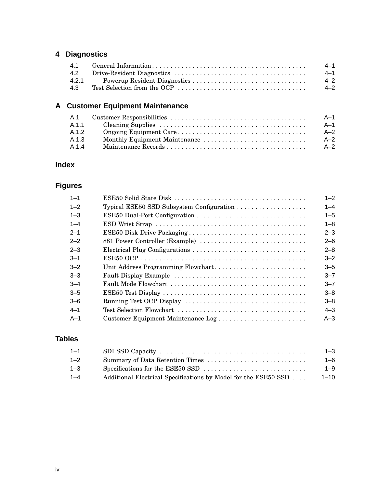## **4 Diagnostics**

|     | 4–1     |
|-----|---------|
|     | $4 - 1$ |
|     | $4 - 2$ |
| 4.3 | $4 - 2$ |

## **A Customer Equipment Maintenance**

| - A.1 | A–1   |
|-------|-------|
| A.1.1 | A–1   |
| A.1.2 | $A-2$ |
| A.1.3 | $A-2$ |
| A 14  | $A-2$ |

## **Index**

## **Figures**

| $1 - 1$ |                                           | $1 - 2$ |
|---------|-------------------------------------------|---------|
| $1 - 2$ | Typical ESE50 SSD Subsystem Configuration | $1 - 4$ |
| $1 - 3$ |                                           | $1 - 5$ |
| $1 - 4$ |                                           | $1 - 8$ |
| $2 - 1$ |                                           | $2 - 3$ |
| $2 - 2$ | 881 Power Controller (Example)            | $2 - 6$ |
| $2 - 3$ |                                           | $2 - 8$ |
| $3 - 1$ |                                           | $3 - 2$ |
| $-2$    |                                           | $3 - 5$ |
| $3 - 3$ |                                           | $3 - 7$ |
| $-3-4$  |                                           | $3 - 7$ |
| $3 - 5$ |                                           | $3 - 8$ |
| $3 - 6$ |                                           | $3 - 8$ |
| $4 - 1$ |                                           | $4 - 3$ |
| $A-1$   | Customer Equipment Maintenance Log        | $A - 3$ |

## **Tables**

| $1 - 1$ |                                                                                          | $1 - 3$  |
|---------|------------------------------------------------------------------------------------------|----------|
| $1 - 2$ |                                                                                          | 1–6      |
| $1 - 3$ | Specifications for the ESE50 SSD $\dots \dots \dots \dots \dots \dots \dots \dots \dots$ | $1 - 9$  |
| $1 - 4$ | Additional Electrical Specifications by Model for the ESE50 SSD                          | $1 - 10$ |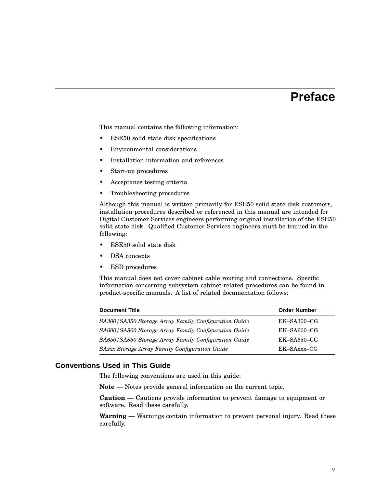## **Preface**

This manual contains the following information:

- ESE50 solid state disk specifications
- Environmental considerations
- Installation information and references
- Start-up procedures
- Acceptance testing criteria
- Troubleshooting procedures

Although this manual is written primarily for ESE50 solid state disk customers, installation procedures described or referenced in this manual are intended for Digital Customer Services engineers performing original installation of the ESE50 solid state disk. Qualified Customer Services engineers must be trained in the following:

- ESE50 solid state disk
- DSA concepts
- ESD procedures

This manual does not cover cabinet cable routing and connections. Specific information concerning subsystem cabinet-related procedures can be found in product-specific manuals. A list of related documentation follows:

| <b>Document Title</b><br><b>Order Number</b>                  |                |  |
|---------------------------------------------------------------|----------------|--|
| SA300/SA350 Storage Array Family Configuration Guide          | $EK$ -SA300-CG |  |
| SA600/SA800 Storage Array Family Configuration Guide          | $EK$ -SA600-CG |  |
| SA650/SA850 Storage Array Family Configuration Guide          | $EK$ -SA650-CG |  |
| SAxxx Storage Array Family Configuration Guide<br>EK-SAxxx-CG |                |  |

#### **Conventions Used in This Guide**

The following conventions are used in this guide:

**Note** — Notes provide general information on the current topic.

**Caution** — Cautions provide information to prevent damage to equipment or software. Read these carefully.

**Warning** — Warnings contain information to prevent personal injury. Read these carefully.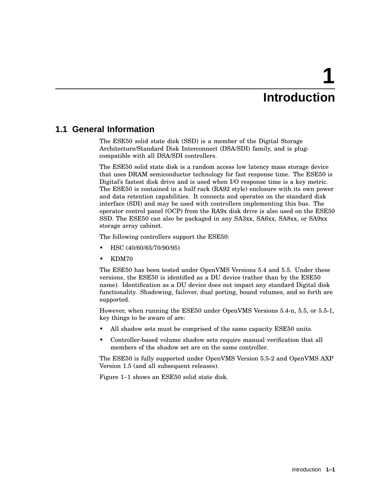# **1 Introduction**

## **1.1 General Information**

The ESE50 solid state disk (SSD) is a member of the Digital Storage Architecture/Standard Disk Interconnect (DSA/SDI) family, and is plugcompatible with all DSA/SDI controllers.

The ESE50 solid state disk is a random access low latency mass storage device that uses DRAM semiconductor technology for fast response time. The ESE50 is Digital's fastest disk drive and is used when I/O response time is a key metric. The ESE50 is contained in a half rack (RA92 style) enclosure with its own power and data retention capabilities. It connects and operates on the standard disk interface (SDI) and may be used with controllers implementing this bus. The operator control panel (OCP) from the RA9x disk drive is also used on the ESE50 SSD. The ESE50 can also be packaged in any SA3xx, SA6xx, SA8xx, or SA9xx storage array cabinet.

The following controllers support the ESE50:

- HSC (40/60/65/70/90/95)
- KDM70

The ESE50 has been tested under OpenVMS Versions 5.4 and 5.5. Under these versions, the ESE50 is identified as a DU device (rather than by the ESE50 name). Identification as a DU device does not impact any standard Digital disk functionality. Shadowing, failover, dual porting, bound volumes, and so forth are supported.

However, when running the ESE50 under OpenVMS Versions 5.4-n, 5.5, or 5.5-1, key things to be aware of are:

- All shadow sets must be comprised of the same capacity ESE50 units.
- Controller-based volume shadow sets require manual verification that all members of the shadow set are on the same controller.

The ESE50 is fully supported under OpenVMS Version 5.5-2 and OpenVMS AXP Version 1.5 (and all subsequent releases).

Figure 1–1 shows an ESE50 solid state disk.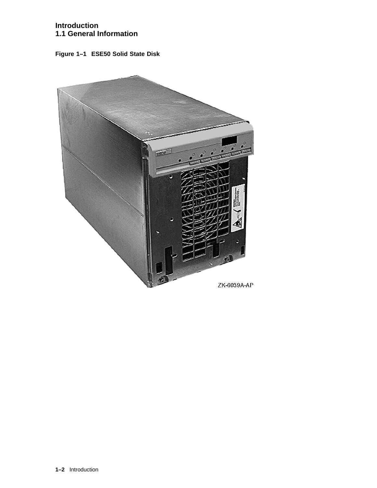#### **Introduction 1.1 General Information**

**Figure 1–1 ESE50 Solid State Disk**

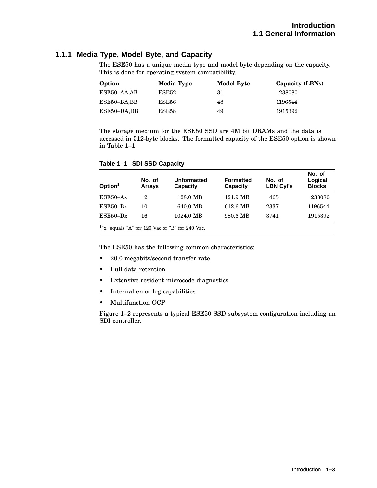#### **1.1.1 Media Type, Model Byte, and Capacity**

The ESE50 has a unique media type and model byte depending on the capacity. This is done for operating system compatibility.

| Option      | Media Type | <b>Model Byte</b> | Capacity (LBNs) |
|-------------|------------|-------------------|-----------------|
| ESE50–AA,AB | ESE52      | 31                | 238080          |
| ESE50–BA,BB | ESE56      | 48                | 1196544         |
| ESE50-DA,DB | ESE58      | 49                | 1915392         |

The storage medium for the ESE50 SSD are 4M bit DRAMs and the data is accessed in 512-byte blocks. The formatted capacity of the ESE50 option is shown in Table 1–1.

| Table 1-1 SDI SSD Capacity |  |
|----------------------------|--|
|                            |  |

| Option <sup>1</sup> | No. of<br><b>Arrays</b> | <b>Unformatted</b><br>Capacity | <b>Formatted</b><br>Capacity | No. of<br><b>LBN Cyl's</b> | No. of<br>Logical<br><b>Blocks</b> |
|---------------------|-------------------------|--------------------------------|------------------------------|----------------------------|------------------------------------|
| $ESE50-Ax$          | 2                       | 128.0 MB                       | 121.9 MB                     | 465                        | 238080                             |
| $ESE50-Bx$          | 10                      | 640.0 MB                       | 612.6 MB                     | 2337                       | 1196544                            |
| $ESE50-Dx$          | 16                      | 1024.0 MB                      | 980.6 MB                     | 3741                       | 1915392                            |
|                     |                         |                                |                              |                            |                                    |

1 "x" equals "A" for 120 Vac or "B" for 240 Vac.

The ESE50 has the following common characteristics:

- 20.0 megabits/second transfer rate
- Full data retention
- Extensive resident microcode diagnostics
- Internal error log capabilities
- Multifunction OCP

Figure 1–2 represents a typical ESE50 SSD subsystem configuration including an SDI controller.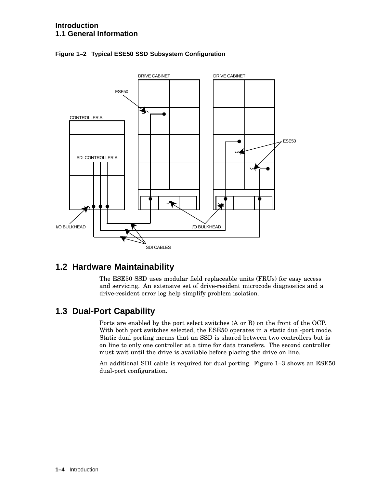

**Figure 1–2 Typical ESE50 SSD Subsystem Configuration**

## **1.2 Hardware Maintainability**

The ESE50 SSD uses modular field replaceable units (FRUs) for easy access and servicing. An extensive set of drive-resident microcode diagnostics and a drive-resident error log help simplify problem isolation.

## **1.3 Dual-Port Capability**

Ports are enabled by the port select switches (A or B) on the front of the OCP. With both port switches selected, the ESE50 operates in a static dual-port mode. Static dual porting means that an SSD is shared between two controllers but is on line to only one controller at a time for data transfers. The second controller must wait until the drive is available before placing the drive on line.

An additional SDI cable is required for dual porting. Figure 1–3 shows an ESE50 dual-port configuration.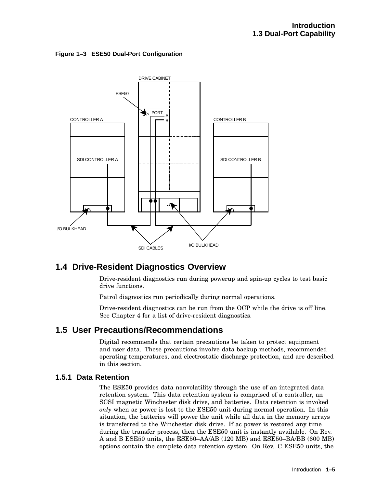**Figure 1–3 ESE50 Dual-Port Configuration**



## **1.4 Drive-Resident Diagnostics Overview**

Drive-resident diagnostics run during powerup and spin-up cycles to test basic drive functions.

Patrol diagnostics run periodically during normal operations.

Drive-resident diagnostics can be run from the OCP while the drive is off line. See Chapter 4 for a list of drive-resident diagnostics.

## **1.5 User Precautions/Recommendations**

Digital recommends that certain precautions be taken to protect equipment and user data. These precautions involve data backup methods, recommended operating temperatures, and electrostatic discharge protection, and are described in this section.

## **1.5.1 Data Retention**

The ESE50 provides data nonvolatility through the use of an integrated data retention system. This data retention system is comprised of a controller, an SCSI magnetic Winchester disk drive, and batteries. Data retention is invoked *only* when ac power is lost to the ESE50 unit during normal operation. In this situation, the batteries will power the unit while all data in the memory arrays is transferred to the Winchester disk drive. If ac power is restored any time during the transfer process, then the ESE50 unit is instantly available. On Rev. A and B ESE50 units, the ESE50–AA/AB (120 MB) and ESE50–BA/BB (600 MB) options contain the complete data retention system. On Rev. C ESE50 units, the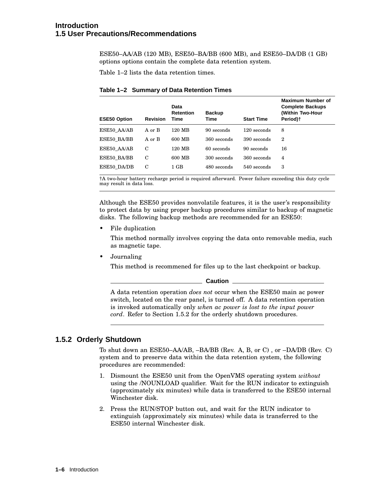#### **Introduction 1.5 User Precautions/Recommendations**

ESE50–AA/AB (120 MB), ESE50–BA/BB (600 MB), and ESE50–DA/DB (1 GB) options options contain the complete data retention system.

Table 1–2 lists the data retention times.

| <b>Revision</b> | Data<br><b>Retention</b><br><b>Time</b> | <b>Backup</b><br>Time | <b>Start Time</b> | <b>Maximum Number of</b><br><b>Complete Backups</b><br>(Within Two-Hour<br>Period) <sup>+</sup> |
|-----------------|-----------------------------------------|-----------------------|-------------------|-------------------------------------------------------------------------------------------------|
| A or B          | 120 MB                                  | 90 seconds            | 120 seconds       | 8                                                                                               |
| A or B          | 600 MB                                  | 360 seconds           | 390 seconds       | 2                                                                                               |
| C               | 120 MB                                  | 60 seconds            | 90 seconds        | 16                                                                                              |
| C               | 600 MB                                  | 300 seconds           | 360 seconds       | $\overline{4}$                                                                                  |
| C               | $1$ GB                                  | 480 seconds           | 540 seconds       | 3                                                                                               |
|                 |                                         |                       |                   |                                                                                                 |

#### **Table 1–2 Summary of Data Retention Times**

†A two-hour battery recharge period is required afterward. Power failure exceeding this duty cycle may result in data loss.

Although the ESE50 provides nonvolatile features, it is the user's responsibility to protect data by using proper backup procedures similar to backup of magnetic disks. The following backup methods are recommended for an ESE50:

• File duplication

This method normally involves copying the data onto removable media, such as magnetic tape.

• Journaling

This method is recommened for files up to the last checkpoint or backup.

**Caution** \_

A data retention operation *does not* occur when the ESE50 main ac power switch, located on the rear panel, is turned off. A data retention operation is invoked automatically only *when ac power is lost to the input power cord*. Refer to Section 1.5.2 for the orderly shutdown procedures.

#### **1.5.2 Orderly Shutdown**

To shut down an ESE50–AA/AB, –BA/BB (Rev. A, B, or C) , or –DA/DB (Rev. C) system and to preserve data within the data retention system, the following procedures are recommended:

- 1. Dismount the ESE50 unit from the OpenVMS operating system *without* using the /NOUNLOAD qualifier. Wait for the RUN indicator to extinguish (approximately six minutes) while data is transferred to the ESE50 internal Winchester disk.
- 2. Press the RUN/STOP button out, and wait for the RUN indicator to extinguish (approximately six minutes) while data is transferred to the ESE50 internal Winchester disk.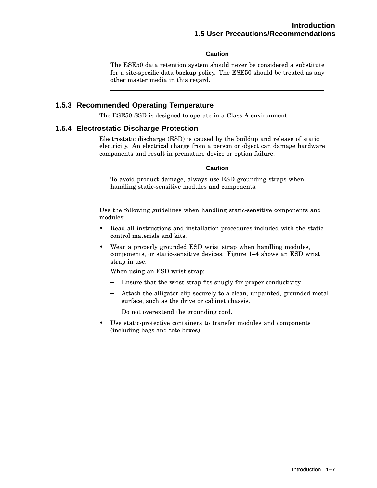**Caution**

The ESE50 data retention system should never be considered a substitute for a site-specific data backup policy. The ESE50 should be treated as any other master media in this regard.

#### **1.5.3 Recommended Operating Temperature**

The ESE50 SSD is designed to operate in a Class A environment.

#### **1.5.4 Electrostatic Discharge Protection**

Electrostatic discharge (ESD) is caused by the buildup and release of static electricity. An electrical charge from a person or object can damage hardware components and result in premature device or option failure.

**Caution**

To avoid product damage, always use ESD grounding straps when handling static-sensitive modules and components.

Use the following guidelines when handling static-sensitive components and modules:

- Read all instructions and installation procedures included with the static control materials and kits.
- Wear a properly grounded ESD wrist strap when handling modules, components, or static-sensitive devices. Figure 1–4 shows an ESD wrist strap in use.

When using an ESD wrist strap:

- Ensure that the wrist strap fits snugly for proper conductivity.
- Attach the alligator clip securely to a clean, unpainted, grounded metal surface, such as the drive or cabinet chassis.
- Do not overextend the grounding cord.
- Use static-protective containers to transfer modules and components (including bags and tote boxes).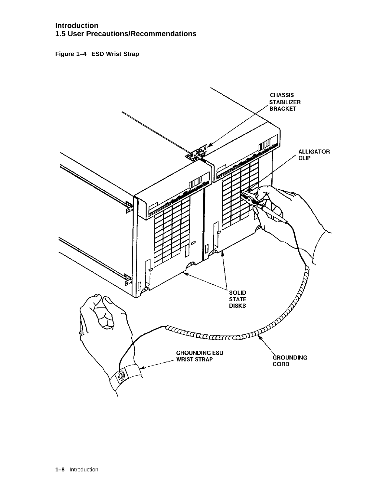#### **Introduction 1.5 User Precautions/Recommendations**

**Figure 1–4 ESD Wrist Strap**

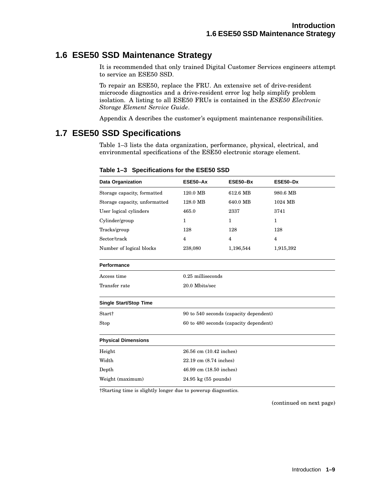## **1.6 ESE50 SSD Maintenance Strategy**

It is recommended that only trained Digital Customer Services engineers attempt to service an ESE50 SSD.

To repair an ESE50, replace the FRU. An extensive set of drive-resident microcode diagnostics and a drive-resident error log help simplify problem isolation. A listing to all ESE50 FRUs is contained in the *ESE50 Electronic Storage Element Service Guide*.

Appendix A describes the customer's equipment maintenance responsibilities.

## **1.7 ESE50 SSD Specifications**

Table 1–3 lists the data organization, performance, physical, electrical, and environmental specifications of the ESE50 electronic storage element.

| Data Organization             | ESE50-Ax               | ESE50-Bx                               | ESE50-Dx       |  |  |
|-------------------------------|------------------------|----------------------------------------|----------------|--|--|
| Storage capacity, formatted   | 120.0 MB               | 612.6 MB                               | 980.6 MB       |  |  |
| Storage capacity, unformatted | 128.0 MB               | 640.0 MB                               | 1024 MB        |  |  |
| User logical cylinders        | 465.0                  | 2337                                   | 3741           |  |  |
| Cylinder/group                | 1                      | $\mathbf{1}$                           | 1              |  |  |
| Tracks/group                  | 128                    | 128                                    | 128            |  |  |
| Sector/track                  | 4                      | $\overline{4}$                         | $\overline{4}$ |  |  |
| Number of logical blocks      | 238,080                | 1,196,544                              | 1,915,392      |  |  |
| <b>Performance</b>            |                        |                                        |                |  |  |
| Access time                   | 0.25 milliseconds      |                                        |                |  |  |
| Transfer rate                 | 20.0 Mbits/sec         |                                        |                |  |  |
| <b>Single Start/Stop Time</b> |                        |                                        |                |  |  |
| Start†                        |                        | 90 to 540 seconds (capacity dependent) |                |  |  |
| Stop                          |                        | 60 to 480 seconds (capacity dependent) |                |  |  |
| <b>Physical Dimensions</b>    |                        |                                        |                |  |  |
| Height                        |                        | 26.56 cm (10.42 inches)                |                |  |  |
| Width                         | 22.19 cm (8.74 inches) |                                        |                |  |  |
| Depth                         |                        | 46.99 cm (18.50 inches)                |                |  |  |
| Weight (maximum)              |                        | $24.95 \text{ kg}$ (55 pounds)         |                |  |  |

#### **Table 1–3 Specifications for the ESE50 SSD**

†Starting time is slightly longer due to powerup diagnostics.

(continued on next page)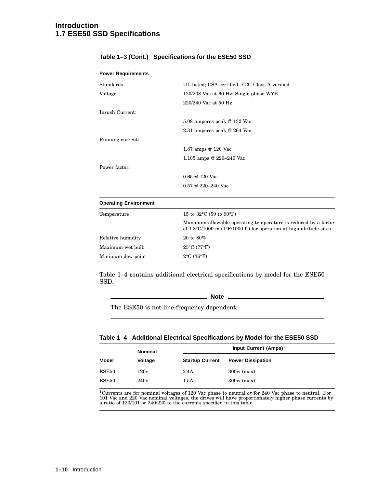#### **Introduction 1.7 ESE50 SSD Specifications**

| <b>Power Requirements</b>    |                                                                                                                                                         |
|------------------------------|---------------------------------------------------------------------------------------------------------------------------------------------------------|
| Standards                    | UL listed; CSA certified; FCC Class A verified                                                                                                          |
| Voltage                      | 120/208 Vac at 60 Hz; Single-phase WYE                                                                                                                  |
|                              | 220/240 Vac at 50 Hz                                                                                                                                    |
| Inrush Current:              |                                                                                                                                                         |
|                              | 5.08 amperes peak @ 132 Vac                                                                                                                             |
|                              | 2.31 amperes peak @ 264 Vac                                                                                                                             |
| Running current:             |                                                                                                                                                         |
|                              | 1.87 amps @ 120 Vac                                                                                                                                     |
|                              | 1.105 amps @ 220–240 Vac                                                                                                                                |
| Power factor:                |                                                                                                                                                         |
|                              | $0.65 \ @ 120$ Vac                                                                                                                                      |
|                              | $0.57 \ @ \ 220 - 240 \text{ Vac}$                                                                                                                      |
| <b>Operating Environment</b> |                                                                                                                                                         |
| Temperature                  | 15 to 32 $^{\circ}$ C (59 to 90 $^{\circ}$ F)                                                                                                           |
|                              | Maximum allowable operating temperature is reduced by a factor<br>of $1.8\degree$ C/1000 m (1 $\degree$ F/1000 ft) for operation at high altitude sites |
| Relative humidity            | 20 to 80%                                                                                                                                               |
| Maximum wet bulb             | $25^{\circ}$ C (77°F)                                                                                                                                   |
| Minimum dew point            | $2^{\circ}$ C (36 $^{\circ}$ F)                                                                                                                         |

#### **Table 1–3 (Cont.) Specifications for the ESE50 SSD**

Table 1–4 contains additional electrical specifications by model for the ESE50 SSD.

**Note**

The ESE50 is not line-frequency dependent.

#### **Table 1–4 Additional Electrical Specifications by Model for the ESE50 SSD**

|              | <b>Nominal</b> | Input Current (Amps) <sup>1</sup> |                          |  |  |
|--------------|----------------|-----------------------------------|--------------------------|--|--|
| <b>Model</b> | <b>Voltage</b> | <b>Startup Current</b>            | <b>Power Dissipation</b> |  |  |
| ESE50        | 120v           | 2.4A                              | $300w$ (max)             |  |  |
| ESE50        | 240v           | 1.5A                              | $300w$ (max)             |  |  |

<sup>1</sup>Currents are for nominal voltages of 120 Vac phase to neutral *or* for 240 Vac phase to neutral. For 101 Vac and 220 Vac nominal voltages, the drives will have proportionately higher phase currents by a ratio of 120/10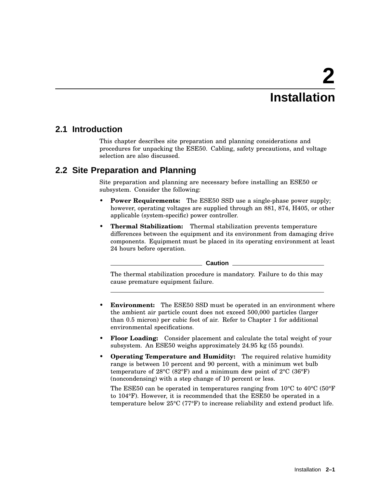# **2 Installation**

## **2.1 Introduction**

This chapter describes site preparation and planning considerations and procedures for unpacking the ESE50. Cabling, safety precautions, and voltage selection are also discussed.

## **2.2 Site Preparation and Planning**

Site preparation and planning are necessary before installing an ESE50 or subsystem. Consider the following:

- **Power Requirements:** The ESE50 SSD use a single-phase power supply; however, operating voltages are supplied through an 881, 874, H405, or other applicable (system-specific) power controller.
- **Thermal Stabilization:** Thermal stabilization prevents temperature differences between the equipment and its environment from damaging drive components. Equipment must be placed in its operating environment at least 24 hours before operation.

**Caution**

The thermal stabilization procedure is mandatory. Failure to do this may cause premature equipment failure.

- **Environment:** The ESE50 SSD must be operated in an environment where the ambient air particle count does not exceed 500,000 particles (larger than 0.5 micron) per cubic foot of air. Refer to Chapter 1 for additional environmental specifications.
- **Floor Loading:** Consider placement and calculate the total weight of your subsystem. An ESE50 weighs approximately 24.95 kg (55 pounds).
- **Operating Temperature and Humidity:** The required relative humidity range is between 10 percent and 90 percent, with a minimum wet bulb temperature of  $28^{\circ}$ C ( $82^{\circ}$ F) and a minimum dew point of  $2^{\circ}$ C ( $36^{\circ}$ F) (noncondensing) with a step change of 10 percent or less.

The ESE50 can be operated in temperatures ranging from  $10^{\circ}$ C to  $40^{\circ}$ C (50 $^{\circ}$ F) to 104°F). However, it is recommended that the ESE50 be operated in a temperature below 25°C (77°F) to increase reliability and extend product life.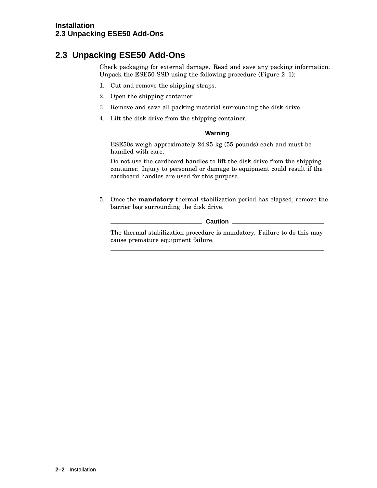## **2.3 Unpacking ESE50 Add-Ons**

Check packaging for external damage. Read and save any packing information. Unpack the ESE50 SSD using the following procedure (Figure 2–1):

- 1. Cut and remove the shipping straps.
- 2. Open the shipping container.
- 3. Remove and save all packing material surrounding the disk drive.
- 4. Lift the disk drive from the shipping container.

**Warning**

ESE50s weigh approximately 24.95 kg (55 pounds) each and must be handled with care.

Do not use the cardboard handles to lift the disk drive from the shipping container. Injury to personnel or damage to equipment could result if the cardboard handles are used for this purpose.

5. Once the **mandatory** thermal stabilization period has elapsed, remove the barrier bag surrounding the disk drive.

**Caution** 

The thermal stabilization procedure is mandatory. Failure to do this may cause premature equipment failure.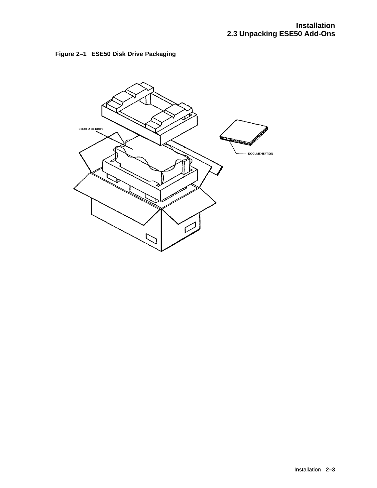

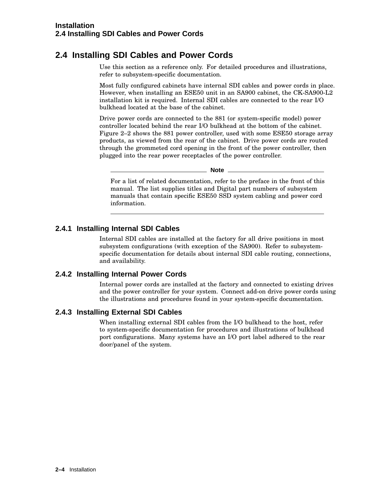## **2.4 Installing SDI Cables and Power Cords**

Use this section as a reference only. For detailed procedures and illustrations, refer to subsystem-specific documentation.

Most fully configured cabinets have internal SDI cables and power cords in place. However, when installing an ESE50 unit in an SA900 cabinet, the CK-SA900-L2 installation kit is required. Internal SDI cables are connected to the rear I/O bulkhead located at the base of the cabinet.

Drive power cords are connected to the 881 (or system-specific model) power controller located behind the rear I/O bulkhead at the bottom of the cabinet. Figure 2–2 shows the 881 power controller, used with some ESE50 storage array products, as viewed from the rear of the cabinet. Drive power cords are routed through the grommeted cord opening in the front of the power controller, then plugged into the rear power receptacles of the power controller.

\_ Note \_

For a list of related documentation, refer to the preface in the front of this manual. The list supplies titles and Digital part numbers of subsystem manuals that contain specific ESE50 SSD system cabling and power cord information.

#### **2.4.1 Installing Internal SDI Cables**

Internal SDI cables are installed at the factory for all drive positions in most subsystem configurations (with exception of the SA900). Refer to subsystemspecific documentation for details about internal SDI cable routing, connections, and availability.

#### **2.4.2 Installing Internal Power Cords**

Internal power cords are installed at the factory and connected to existing drives and the power controller for your system. Connect add-on drive power cords using the illustrations and procedures found in your system-specific documentation.

#### **2.4.3 Installing External SDI Cables**

When installing external SDI cables from the I/O bulkhead to the host, refer to system-specific documentation for procedures and illustrations of bulkhead port configurations. Many systems have an I/O port label adhered to the rear door/panel of the system.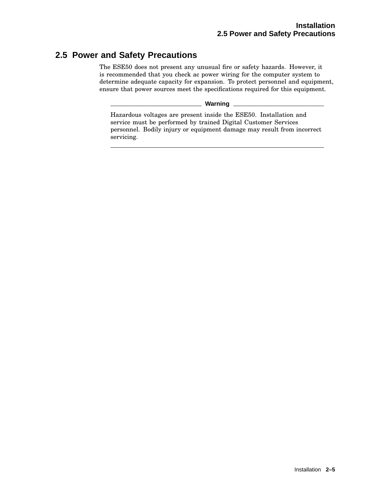## **2.5 Power and Safety Precautions**

The ESE50 does not present any unusual fire or safety hazards. However, it is recommended that you check ac power wiring for the computer system to determine adequate capacity for expansion. To protect personnel and equipment, ensure that power sources meet the specifications required for this equipment.

**Warning**

Hazardous voltages are present inside the ESE50. Installation and service must be performed by trained Digital Customer Services personnel. Bodily injury or equipment damage may result from incorrect servicing.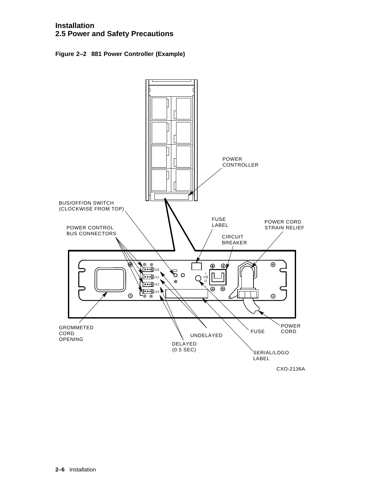#### **Installation 2.5 Power and Safety Precautions**

**Figure 2–2 881 Power Controller (Example)**

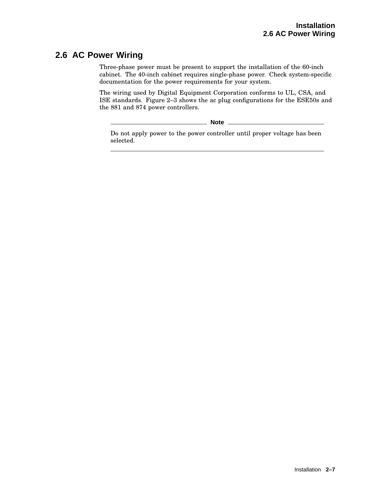## **2.6 AC Power Wiring**

Three-phase power must be present to support the installation of the 60-inch cabinet. The 40-inch cabinet requires single-phase power. Check system-specific documentation for the power requirements for your system.

The wiring used by Digital Equipment Corporation conforms to UL, CSA, and ISE standards. Figure 2–3 shows the ac plug configurations for the ESE50s and the 881 and 874 power controllers.

**Note**

Do not apply power to the power controller until proper voltage has been selected.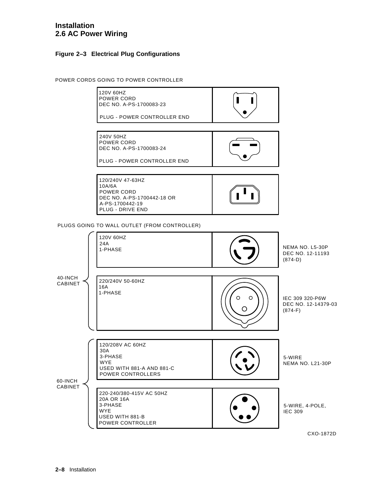#### **Installation 2.6 AC Power Wiring**

#### **Figure 2–3 Electrical Plug Configurations**

POWER CORDS GOING TO POWER CONTROLLER



CXO-1872D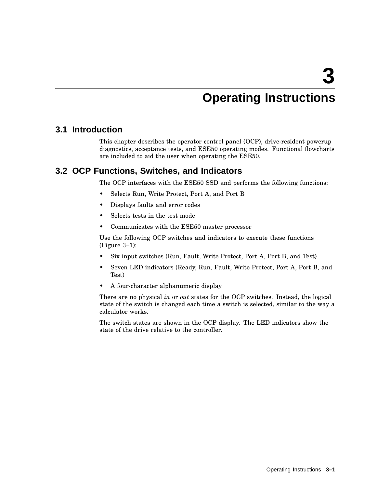# **Operating Instructions**

## **3.1 Introduction**

This chapter describes the operator control panel (OCP), drive-resident powerup diagnostics, acceptance tests, and ESE50 operating modes. Functional flowcharts are included to aid the user when operating the ESE50.

## **3.2 OCP Functions, Switches, and Indicators**

The OCP interfaces with the ESE50 SSD and performs the following functions:

- Selects Run, Write Protect, Port A, and Port B
- Displays faults and error codes
- Selects tests in the test mode
- Communicates with the ESE50 master processor

Use the following OCP switches and indicators to execute these functions (Figure 3–1):

- Six input switches (Run, Fault, Write Protect, Port A, Port B, and Test)
- Seven LED indicators (Ready, Run, Fault, Write Protect, Port A, Port B, and Test)
- A four-character alphanumeric display

There are no physical *in* or *out* states for the OCP switches. Instead, the logical state of the switch is changed each time a switch is selected, similar to the way a calculator works.

The switch states are shown in the OCP display. The LED indicators show the state of the drive relative to the controller.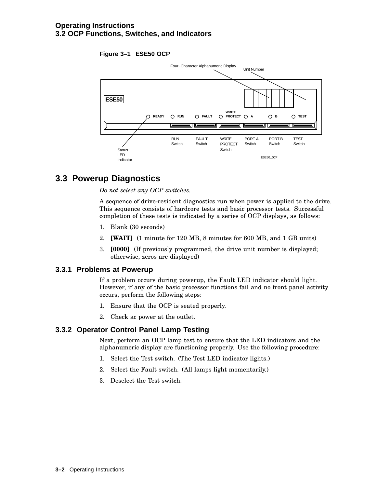#### **Figure 3–1 ESE50 OCP**



## **3.3 Powerup Diagnostics**

*Do not select any OCP switches.*

A sequence of drive-resident diagnostics run when power is applied to the drive. This sequence consists of hardcore tests and basic processor tests. Successful completion of these tests is indicated by a series of OCP displays, as follows:

- 1. Blank (30 seconds)
- 2. **[WAIT]** (1 minute for 120 MB, 8 minutes for 600 MB, and 1 GB units)
- 3. **[0000]** (If previously programmed, the drive unit number is displayed; otherwise, zeros are displayed)

#### **3.3.1 Problems at Powerup**

If a problem occurs during powerup, the Fault LED indicator should light. However, if any of the basic processor functions fail and no front panel activity occurs, perform the following steps:

- 1. Ensure that the OCP is seated properly.
- 2. Check ac power at the outlet.

#### **3.3.2 Operator Control Panel Lamp Testing**

Next, perform an OCP lamp test to ensure that the LED indicators and the alphanumeric display are functioning properly. Use the following procedure:

- 1. Select the Test switch. (The Test LED indicator lights.)
- 2. Select the Fault switch. (All lamps light momentarily.)
- 3. Deselect the Test switch.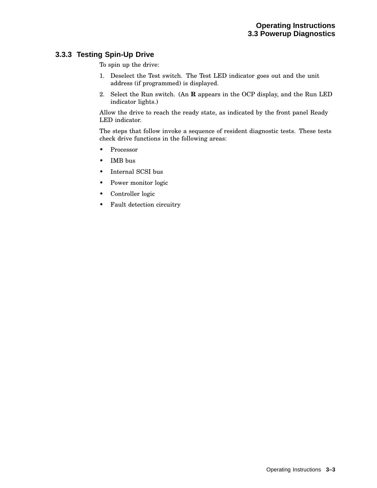#### **3.3.3 Testing Spin-Up Drive**

To spin up the drive:

- 1. Deselect the Test switch. The Test LED indicator goes out and the unit address (if programmed) is displayed.
- 2. Select the Run switch. (An **R** appears in the OCP display, and the Run LED indicator lights.)

Allow the drive to reach the ready state, as indicated by the front panel Ready LED indicator.

The steps that follow invoke a sequence of resident diagnostic tests. These tests check drive functions in the following areas:

- Processor
- IMB bus
- Internal SCSI bus
- Power monitor logic
- Controller logic
- Fault detection circuitry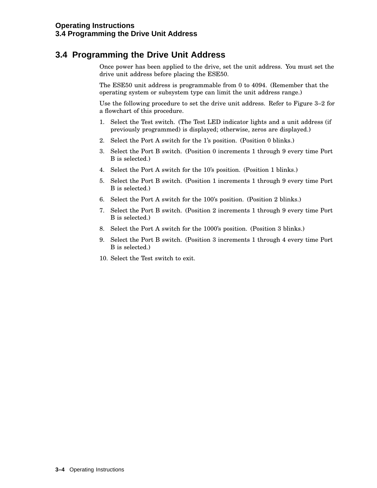## **3.4 Programming the Drive Unit Address**

Once power has been applied to the drive, set the unit address. You must set the drive unit address before placing the ESE50.

The ESE50 unit address is programmable from 0 to 4094. (Remember that the operating system or subsystem type can limit the unit address range.)

Use the following procedure to set the drive unit address. Refer to Figure 3–2 for a flowchart of this procedure.

- 1. Select the Test switch. (The Test LED indicator lights and a unit address (if previously programmed) is displayed; otherwise, zeros are displayed.)
- 2. Select the Port A switch for the 1's position. (Position 0 blinks.)
- 3. Select the Port B switch. (Position 0 increments 1 through 9 every time Port B is selected.)
- 4. Select the Port A switch for the 10's position. (Position 1 blinks.)
- 5. Select the Port B switch. (Position 1 increments 1 through 9 every time Port B is selected.)
- 6. Select the Port A switch for the 100's position. (Position 2 blinks.)
- 7. Select the Port B switch. (Position 2 increments 1 through 9 every time Port B is selected.)
- 8. Select the Port A switch for the 1000's position. (Position 3 blinks.)
- 9. Select the Port B switch. (Position 3 increments 1 through 4 every time Port B is selected.)
- 10. Select the Test switch to exit.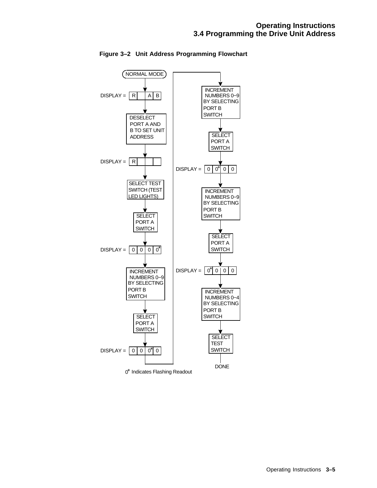

**Figure 3–2 Unit Address Programming Flowchart**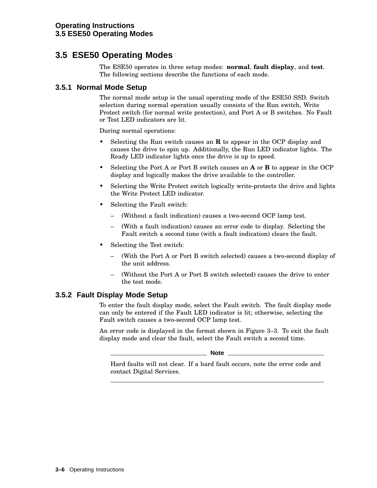## **3.5 ESE50 Operating Modes**

The ESE50 operates in three setup modes: **normal**, **fault display**, and **test**. The following sections describe the functions of each mode.

#### **3.5.1 Normal Mode Setup**

The normal mode setup is the usual operating mode of the ESE50 SSD. Switch selection during normal operation usually consists of the Run switch, Write Protect switch (for normal write protection), and Port A or B switches. No Fault or Test LED indicators are lit.

During normal operations:

- Selecting the Run switch causes an **R** to appear in the OCP display and causes the drive to spin up. Additionally, the Run LED indicator lights. The Ready LED indicator lights once the drive is up to speed.
- Selecting the Port A or Port B switch causes an **A** or **B** to appear in the OCP display and logically makes the drive available to the controller.
- Selecting the Write Protect switch logically write-protects the drive and lights the Write Protect LED indicator.
- Selecting the Fault switch:
	- (Without a fault indication) causes a two-second OCP lamp test.
	- (With a fault indication) causes an error code to display. Selecting the Fault switch a second time (with a fault indication) clears the fault.
- Selecting the Test switch:
	- (With the Port A or Port B switch selected) causes a two-second display of the unit address.
	- (Without the Port A or Port B switch selected) causes the drive to enter the test mode.

#### **3.5.2 Fault Display Mode Setup**

To enter the fault display mode, select the Fault switch. The fault display mode can only be entered if the Fault LED indicator is lit; otherwise, selecting the Fault switch causes a two-second OCP lamp test.

An error code is displayed in the format shown in Figure 3–3. To exit the fault display mode and clear the fault, select the Fault switch a second time.

**Note**

Hard faults will not clear. If a hard fault occurs, note the error code and contact Digital Services.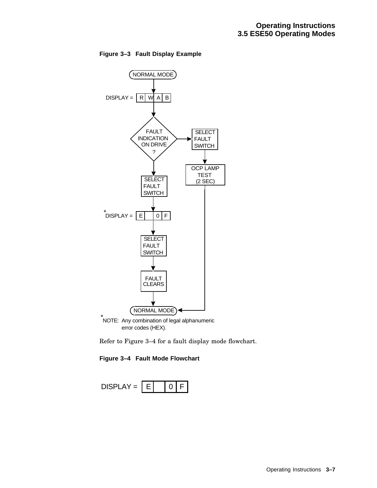

**Figure 3–3 Fault Display Example**

Refer to Figure 3–4 for a fault display mode flowchart.



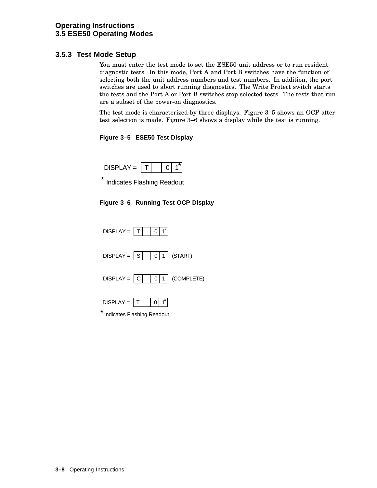#### **3.5.3 Test Mode Setup**

You must enter the test mode to set the ESE50 unit address or to run resident diagnostic tests. In this mode, Port A and Port B switches have the function of selecting both the unit address numbers and test numbers. In addition, the port switches are used to abort running diagnostics. The Write Protect switch starts the tests and the Port A or Port B switches stop selected tests. The tests that run are a subset of the power-on diagnostics.

The test mode is characterized by three displays. Figure 3–5 shows an OCP after test selection is made. Figure 3–6 shows a display while the test is running.

#### **Figure 3–5 ESE50 Test Display**



\* Indicates Flashing Readout

#### **Figure 3–6 Running Test OCP Display**

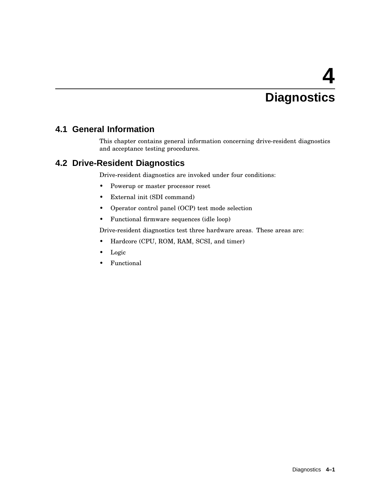# **4 Diagnostics**

## **4.1 General Information**

This chapter contains general information concerning drive-resident diagnostics and acceptance testing procedures.

## **4.2 Drive-Resident Diagnostics**

Drive-resident diagnostics are invoked under four conditions:

- Powerup or master processor reset
- External init (SDI command)
- Operator control panel (OCP) test mode selection
- Functional firmware sequences (idle loop)

Drive-resident diagnostics test three hardware areas. These areas are:

- Hardcore (CPU, ROM, RAM, SCSI, and timer)
- Logic
- Functional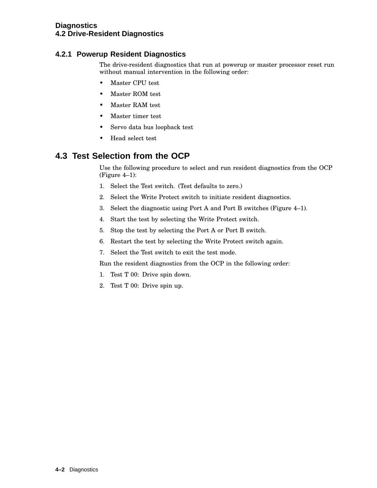#### **Diagnostics 4.2 Drive-Resident Diagnostics**

#### **4.2.1 Powerup Resident Diagnostics**

The drive-resident diagnostics that run at powerup or master processor reset run without manual intervention in the following order:

- Master CPU test
- Master ROM test
- Master RAM test
- Master timer test
- Servo data bus loopback test
- Head select test

## **4.3 Test Selection from the OCP**

Use the following procedure to select and run resident diagnostics from the OCP (Figure 4–1):

- 1. Select the Test switch. (Test defaults to zero.)
- 2. Select the Write Protect switch to initiate resident diagnostics.
- 3. Select the diagnostic using Port A and Port B switches (Figure 4–1).
- 4. Start the test by selecting the Write Protect switch.
- 5. Stop the test by selecting the Port A or Port B switch.
- 6. Restart the test by selecting the Write Protect switch again.
- 7. Select the Test switch to exit the test mode.

Run the resident diagnostics from the OCP in the following order:

- 1. Test T 00: Drive spin down.
- 2. Test T 00: Drive spin up.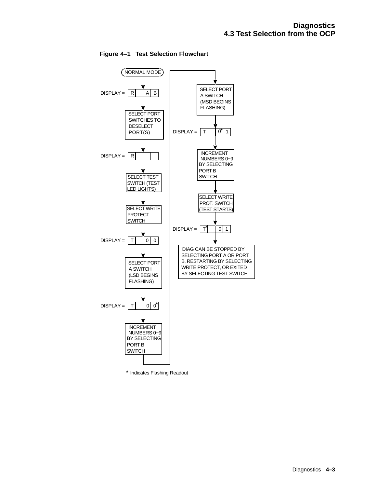

**Figure 4–1 Test Selection Flowchart**

\* Indicates Flashing Readout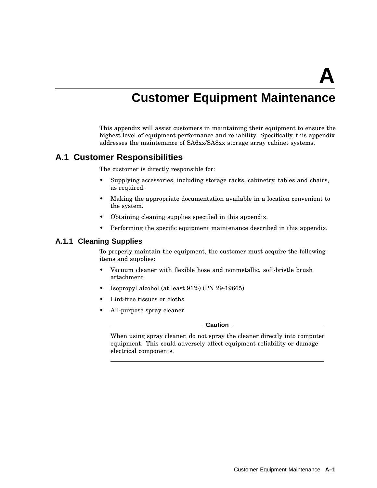**A**

## **Customer Equipment Maintenance**

This appendix will assist customers in maintaining their equipment to ensure the highest level of equipment performance and reliability. Specifically, this appendix addresses the maintenance of SA6xx/SA8xx storage array cabinet systems.

## **A.1 Customer Responsibilities**

The customer is directly responsible for:

- Supplying accessories, including storage racks, cabinetry, tables and chairs, as required.
- Making the appropriate documentation available in a location convenient to the system.
- Obtaining cleaning supplies specified in this appendix.
- Performing the specific equipment maintenance described in this appendix.

#### **A.1.1 Cleaning Supplies**

To properly maintain the equipment, the customer must acquire the following items and supplies:

- Vacuum cleaner with flexible hose and nonmetallic, soft-bristle brush attachment
- Isopropyl alcohol (at least 91%) (PN 29-19665)
- Lint-free tissues or cloths
- All-purpose spray cleaner

**Caution**

When using spray cleaner, do not spray the cleaner directly into computer equipment. This could adversely affect equipment reliability or damage electrical components.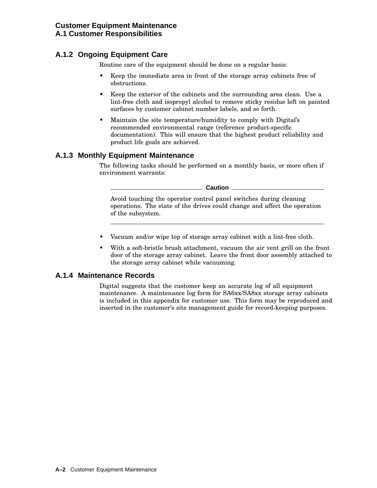## **A.1.2 Ongoing Equipment Care**

Routine care of the equipment should be done on a regular basis:

- Keep the immediate area in front of the storage array cabinets free of obstructions.
- Keep the exterior of the cabinets and the surrounding area clean. Use a lint-free cloth and isopropyl alcohol to remove sticky residue left on painted surfaces by customer cabinet number labels, and so forth.
- Maintain the site temperature/humidity to comply with Digital's recommended environmental range (reference product-specific documentation). This will ensure that the highest product reliability and product life goals are achieved.

#### **A.1.3 Monthly Equipment Maintenance**

The following tasks should be performed on a monthly basis, or more often if environment warrants:

**Caution**

Avoid touching the operator control panel switches during cleaning operations. The state of the drives could change and affect the operation of the subsystem.

- Vacuum and/or wipe top of storage array cabinet with a lint-free cloth.
- With a soft-bristle brush attachment, vacuum the air vent grill on the front door of the storage array cabinet. Leave the front door assembly attached to the storage array cabinet while vacuuming.

#### **A.1.4 Maintenance Records**

Digital suggests that the customer keep an accurate log of all equipment maintenance. A maintenance log form for SA6xx/SA8xx storage array cabinets is included in this appendix for customer use. This form may be reproduced and inserted in the customer's site management guide for record-keeping purposes.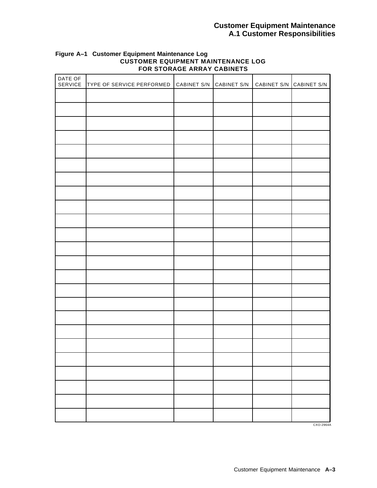#### **Customer Equipment Maintenance A.1 Customer Responsibilities**

| DATE OF<br>SERVICE | TYPE OF SERVICE PERFORMED | CABINET S/N | CABINET S/N | CABINET S/N CABINET S/N |  |
|--------------------|---------------------------|-------------|-------------|-------------------------|--|
|                    |                           |             |             |                         |  |
|                    |                           |             |             |                         |  |
|                    |                           |             |             |                         |  |
|                    |                           |             |             |                         |  |
|                    |                           |             |             |                         |  |
|                    |                           |             |             |                         |  |
|                    |                           |             |             |                         |  |
|                    |                           |             |             |                         |  |
|                    |                           |             |             |                         |  |
|                    |                           |             |             |                         |  |
|                    |                           |             |             |                         |  |
|                    |                           |             |             |                         |  |
|                    |                           |             |             |                         |  |
|                    |                           |             |             |                         |  |
|                    |                           |             |             |                         |  |
|                    |                           |             |             |                         |  |
|                    |                           |             |             |                         |  |
|                    |                           |             |             |                         |  |
|                    |                           |             |             |                         |  |
|                    |                           |             |             |                         |  |
|                    |                           |             |             |                         |  |
|                    |                           |             |             |                         |  |
|                    |                           |             |             |                         |  |
|                    |                           |             |             |                         |  |

#### **Figure A–1 Customer Equipment Maintenance Log CUSTOMER EQUIPMENT MAINTENANCE LOG FOR STORAGE ARRAY CABINETS**

CXO-2964A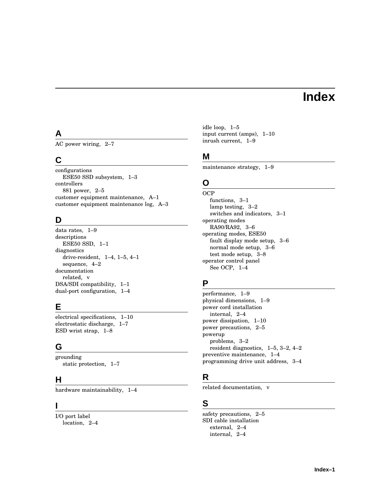## **Index**

## **A**

AC power wiring, 2–7

## **C**

configurations ESE50 SSD subsystem, 1–3 controllers 881 power, 2–5 customer equipment maintenance, A–1 customer equipment maintenance log, A–3

## **D**

data rates, 1–9 descriptions ESE50 SSD, 1–1 diagnostics drive-resident, 1–4, 1–5, 4–1 sequence, 4–2 documentation related, v DSA/SDI compatibility, 1–1 dual-port configuration, 1–4

## **E**

electrical specifications, 1–10 electrostatic discharge, 1–7 ESD wrist strap, 1–8

## **G**

grounding static protection, 1–7

## **H**

hardware maintainability, 1–4

#### **I**

I/O port label location, 2–4 idle loop, 1–5 input current (amps), 1–10 inrush current, 1–9

## **M**

maintenance strategy, 1–9

## **O**

**OCP** functions, 3–1 lamp testing, 3–2 switches and indicators, 3–1 operating modes RA90/RA92, 3–6 operating modes, ESE50 fault display mode setup, 3–6 normal mode setup, 3–6 test mode setup, 3–8 operator control panel See OCP, 1–4

## **P**

performance, 1–9 physical dimensions, 1–9 power cord installation internal, 2–4 power dissipation, 1–10 power precautions, 2–5 powerup problems, 3–2 resident diagnostics, 1–5, 3–2, 4–2 preventive maintenance, 1–4 programming drive unit address, 3–4

## **R**

related documentation, v

## **S**

safety precautions, 2–5 SDI cable installation external, 2–4 internal, 2–4